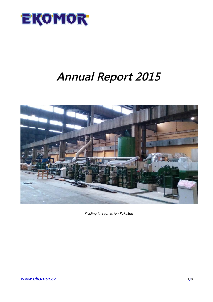

# **Annual Report 2015**



*Pickling line for strip - Pakistan*

**[www.ekomor.cz](http://www.ekomor.cz/)** 1**/**8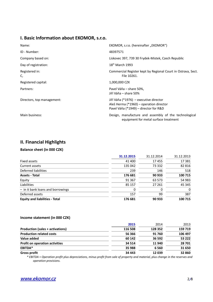# **I. Basic Information about EKOMOR, s.r.o.**

| Name:                      | EKOMOR, s.r.o. (hereinafter "EKOMOR")                                                                                      |  |
|----------------------------|----------------------------------------------------------------------------------------------------------------------------|--|
| ID - Number:               | 48397571                                                                                                                   |  |
| Company based on:          | Liskovec 397, 739 30 Frydek-Mistek, Czech Republic                                                                         |  |
| Day of registration:       | $18th$ March 1993                                                                                                          |  |
| Registered in:<br>C,       | Commercial Register kept by Regional Court in Ostrava, Sect.<br>File 10261.                                                |  |
| Registered capital:        | 1,000,000 CZK                                                                                                              |  |
| Partners:                  | Pavel Váňa – share 50%,<br>Jiří Váňa – share 50%                                                                           |  |
| Directors, top management: | Jiří Váňa (*1976) – executive director<br>Aleš Herma (*1960) – operation director<br>Pavel Váňa (*1949) – director for R&D |  |
| Main business:             | Design, manufacture and assembly of the technological<br>equipment for metal surface treatment                             |  |

# **II. Financial Highlights**

## **Balance sheet (in 000 CZK)**

|                                       | 31.12.2015 | 31.12.2014 | 31.12.2013 |
|---------------------------------------|------------|------------|------------|
| Fixed assets                          | 41 400     | 17455      | 17 381     |
| Current assets                        | 135 042    | 73 332     | 82 816     |
| Deferred liabilities                  | 239        | 146        | 518        |
| <b>Assets - Total</b>                 | 176 681    | 90 933     | 100 715    |
| Equity                                | 91 367     | 63 573     | 54 983     |
| Liabilities                           | 85 157     | 27 261     | 45 345     |
| - in it bank loans and borrowings     |            |            | 0          |
| Deferred assets                       | 157        | 99         | 387        |
| <b>Equity and liabilities - Total</b> | 176 681    | 90 933     | 100 715    |

#### **Income statement (in 000 CZK)**

|                                       | 2015    | 2014    | 2013    |
|---------------------------------------|---------|---------|---------|
| Production (sales + activations)      | 116 508 | 128 352 | 159 719 |
| <b>Production related costs</b>       | 56 366  | 91760   | 106 497 |
| Value added                           | 60 142  | 36 592  | 53 222  |
| <b>Profit on operation activities</b> | 34 5 14 | 11940   | 28 701  |
| EBITDA*                               | 35 988  | 6 5 6 0 | 31 650  |
| <b>Gross profit</b>                   | 34 443  | 12039   | 32 860  |

 *\* EBITDA = Operation profit plus depreciations, minus profit from sale of property and material, plus change in the reserves and operation provisions.*

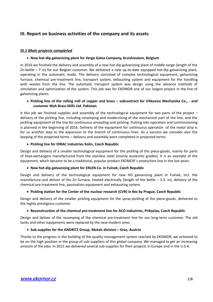# **III. Report on business activities of the company and its assets**

# *III.1 Main projects completed*

# **New hot-dip galvanizing plant for Vergo Galva Company, Kruishoutem, Belgium**

In 2016 we finished the delivery and assembly of a new hot-dip galvanizing plant of middle range (length of the Zn-kettle – 7 m) for our Belgian customer. We delivered a new up-to-date equipped hot-dip galvanizing plant, operating in the automatic mode. The delivery consisted of complex technological equipment, galvanizing furnace, chemical pre-treatment line, transport system, exhausting system and equipment for the handling with wastes from the line. The automatic transport system was design using the advance methods of simulation and optimization of the system. This job was for EKOMOR one of our largest project in the line of galvanizing plants.

#### **Pickling line of the rolling mill of copper and brass – subcontract for Vitkovice Mechanika Co., - end customer Wah Brass Mills Ltd. Pakistan**

It this job we finished supplies and assembly of the technological equipment for two parts of the project – delivery of the pickling line, including revamping and modernizing of the mechanical part of the line, and the pickling equipment of the line for continuous annealing and pickling. Putting into operation and commissioning is planned in the beginning of 2016. Delivery of the equipment for continuous operation of the metal strip is for us another step to the expansion to the branch of continuous lines. As a success we consider also the keeping of the projected terms – delivery and assembly were completed in projected terms.

#### **Pickling line for DIRAC Industries Kolin, Czech Republic**

Design and delivery of a smaller technological equipment for the pickling of the piece-goods, mainly for parts of heat-exchangers manufactured from the stainless steel (mainly austenitic grades). It is an example of the equipment, which became to be a traditional, popular product EKOMOR´s production line in the last years.

#### **New hot-dip galvanizing plant for ERLEN Co. in Fulnek, Czech Republic**

Design and delivery of the technological equipment for new HD galvanizing plant in Fulnek, incl. the manufacture and deliver of the Zn furnace, heated electrically (length of the kettle  $-$  3.3. m), delivery of the chemical pre-treatment line, passivation equipment and exhausting system.

#### **Pickling station for the Center of the nuclear research (CVR) in Rez by Prague, Czech Republic**

Design and delivery of the smaller pickling equipment for the spray-pickling of the piece-goods, delivered to the highly prestigious customer.

#### **Reconstruction of the chemical pre-treatment line for ACO Industries, Pribyslav, Czech Republic**

Design and deliver of the revamping of the chemical pre-treatment line for our long-term customer. The old tanks and other equipments were replaced by the new modern ones.

#### **Sub-supplies for the ANDRITZ Group, Metals division – Graz, Austria**

Thanks to the progress in the building of the quality management system reached by EKOMOR, we achieved to be on the high position in the group of sub-suppliers of this global company. We managed to get an increasing amount of the jobs. In 2015 we delivered several sub-supplies for their projects in Europe and in the U.S.A.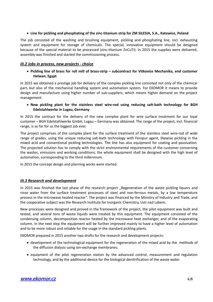#### **Line for pickling and phosphating of the zinc-titanium strip for ZM SILESIA, S.A., Katowice, Poland**

The job consisted of the washing and brushing equipment, pickling and phosphating line, incl. exhausting system and equipment for storage of chemicals. The special, innovative equipment should be designed because of the special material to be processed (zinc-titanium ZnCuTi). In 2015 the supplies were delivered, assembly was finished and started the commissioning process.

## *III.2 Jobs in process, new projects - choice*

 **Pickling line of brass for roll mill of brass-strip – subcontract for Vitkovice Mechanika, end customer Helwan, Egypt**

In 2015 we obtained a prestige job for delivery of the complex pickling line consisted not only of the chemical part, but also of the mechanical handling system and automation system. For EKOMOR it means to provide design and manufacture using higher number of sub-suppliers, which means higher demand on the project management.

#### **New pickling plant for the stainless steel wire-rod using reducing salt-bath technology for BGH Edelstahlwerke in Lugau, Germany**

In 2015 the contract for the delivery of the new complex plant for wire surface treatment for our loyal customer – BGH Edelstahlwerke GmbH, Lugau – Germany was obtained. The range of the project, incl. financial range, is so far for us the biggest job ever.

The project comprises of the complex plant for the surface treatment of the stainless steel wire-rod of wide range of grades, using the unique reducing salt-bath technology with Feropur agent, likewise pickling in the mixed acid and conventional pickling technologies. The line has also equipment for coating and passivation. The projected solution has to comply with the strict environmental requirements of the customer concerning the wastes, emissions and working conditions; the whole equipment shall be designed with the high level of automation, corresponding to the third millennium.

In 2015 the concept design and planning works were started.

# *III.3 Research and development*

In 2015 was finished the last phase of the research project "Regeneration of the waste pickling liquors and rinse water from the surface treatment processes of steel and non-ferrous metals, by a low temperature process in the microwave heated reactor". The project was financed by the Ministry of Industry and Trade, and the cooperative subject was the Research Institute for Inorganic Chemistry, Usti nad Labem.

New processes were designed and proved in the framework of the project, the pilot equipment was built and tested, and several tons of waste liquids were treated by this equipment. The equipment consisted of the condensing column, decomposition reactor heated by the microwave heat exchanger, and of the evaporating column. In the next step the equipment will be further improved mainly to have a higher level of automation and to be more robust and reliable for the usage in the standard pickling plants.

EKOMOR prepared in 2015 another two drafts for the research and development projects:

- development of the technological equipment for the regeneration of the mixed acid by the methods of the diffusion dialysis using ion-exchange membranes;
- equipment of the pilot regeneration station by the advanced control, measurement and regulation technology, and by the additional device for the biological denitrification of the waste water.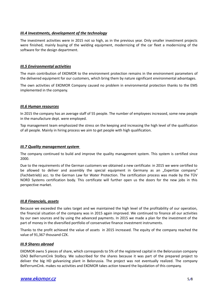## *III.4 Investments, development of the technology*

The investment activities were in 2015 not so high, as in the previous year. Only smaller investment projects were finished, mainly buying of the welding equipment, modernizing of the car fleet a modernizing of the software for the design department.

#### *III.5 Environmental activities*

The main contribution of EKOMOR to the environment protection remains in the environment parameters of the delivered equipment for our customers, which bring them by nature significant environmental advantages.

The own activities of EKOMOR Company caused no problem in environmental protection thanks to the EMS implemented in the company.

#### *III.6 Human resources*

In 2015 the company has an average staff of 55 people. The number of employees increased, some new people in the manufacture dept. were employed.

Top management team emphasized the stress on the keeping and increasing the high level of the qualification of all people. Mainly in hiring process we aim to get people with high qualification.

#### *III.7 Quality management system*

The company continued to build and improve the quality management system. This system is certified since 2000.

Due to the requirements of the German customers we obtained a new certificate: in 2015 we were certified to be allowed to deliver and assembly the special equipment in Germany as an "Expertize company" (Fachbetrieb) acc. to the German Law for Water Protection. The certification process was made by the TÜV NORD Systems certification body. This certificate will further open us the doors for the new jobs in this perspective market.

#### *III.8 Financials, assets*

Because we exceeded the sales target and we maintained the high level of the profitability of our operation, the financial situation of the company was in 2015 again improved. We continued to finance all our activities by our own sources and by using the advanced payments. In 2015 we made a plan for the investment of the part of money in the diversified portfolio of conservative finance investment instruments.

Thanks to the profit achieved the value of assets in 2015 increased. The equity of the company reached the value of 91,367 thousand CZK.

#### *III.9 Shares abroad*

EKOMOR owns 5 pieces of share, which corresponds to 5% of the registered capital in the Belorussian company IZAO BelFerrumCink Stolbcy. We subscribed for the shares because it was part of the prepared project to deliver the big HD galvanizing plant in Belorussia. The project was not eventually realized. The company BelFerrumCink. makes no activities and EKOMOR takes action toward the liquidation of this company.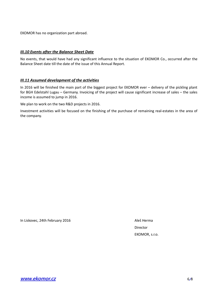EKOMOR has no organization part abroad.

#### *III.10 Events after the Balance Sheet Date*

No events, that would have had any significant influence to the situation of EKOMOR Co., occurred after the Balance Sheet date till the date of the issue of this Annual Report.

#### *III.11 Assumed development of the activities*

In 2016 will be finished the main part of the biggest project for EKOMOR ever – delivery of the pickling plant for BGH Edelstahl Lugau – Germany. Invoicing of the project will cause significant increase of sales – the sales income is assumed to jump in 2016.

We plan to work on the two R&D projects in 2016.

Investment activities will be focused on the finishing of the purchase of remaining real-estates in the area of the company.

In Liskovec, 24th February 2016 Aleš Herma

Director EKOMOR, s.r.o.

**[www.ekomor.cz](http://www.ekomor.cz/)** 6**/**8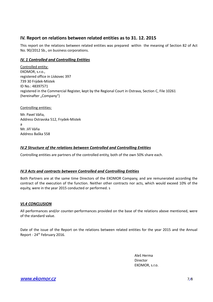# **IV. Report on relations between related entities as to 31. 12. 2015**

This report on the relations between related entities was prepared within the meaning of Section 82 of Act No. 90/2012 Sb., on business corporations.

# *IV. 1 Controlled and Controlling Entities*

Controlled entity: EKOMOR, s.r.o., registered office in Lískovec 397 739 30 Frýdek-Místek ID No.: 48397571 registered in the Commercial Register, kept by the Regional Court in Ostrava, Section C, File 10261 (hereinafter "Company")

Controlling entities:

Mr. Pavel Váňa, Address Ostravska 512, Frydek-Mistek a Mr. Jiří Váňa Address Baška 558

# *IV.2 Structure of the relations between Controlled and Controlling Entities*

Controlling entities are partners of the controlled entity, both of the own 50% share each.

# *IV.3 Acts and contracts between Controlled and Controlling Entities*

Both Partners are at the same time Directors of the EKOMOR Company, and are remunerated according the contract of the execution of the function. Neither other contracts nor acts, which would exceed 10% of the equity, were in the year 2015 conducted or performed. s

# *VI.4 CONCLUSION*

All performances and/or counter-performances provided on the base of the relations above mentioned, were of the standard value.

Date of the issue of the Report on the relations between related entities for the year 2015 and the Annual Report - 24<sup>th</sup> February 2016.

> Aleš Herma Director EKOMOR, s.r.o.